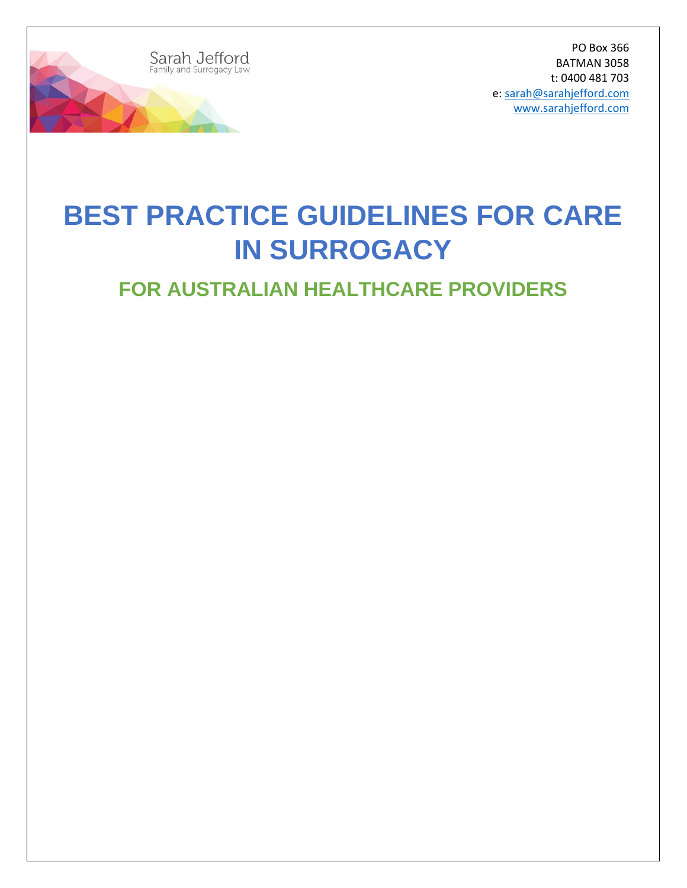

PO Box 366 BATMAN 3058 t: 0400 481 703 e: [sarah@sarahjefford.com](mailto:sarah@sarahjefford.com) [www.sarahjefford.com](http://www.sarahjefford.com/)

# **BEST PRACTICE GUIDELINES FOR CARE IN SURROGACY**

# **FOR AUSTRALIAN HEALTHCARE PROVIDERS**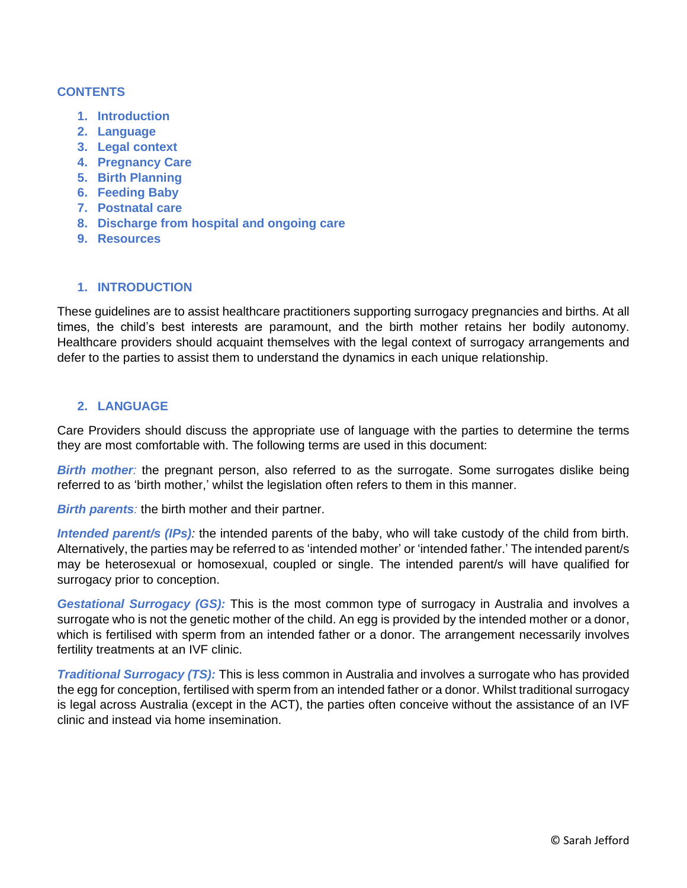#### **CONTENTS**

- **1. Introduction**
- **2. Language**
- **3. Legal context**
- **4. Pregnancy Care**
- **5. Birth Planning**
- **6. Feeding Baby**
- **7. Postnatal care**
- **8. Discharge from hospital and ongoing care**
- **9. Resources**

#### **1. INTRODUCTION**

These guidelines are to assist healthcare practitioners supporting surrogacy pregnancies and births. At all times, the child's best interests are paramount, and the birth mother retains her bodily autonomy. Healthcare providers should acquaint themselves with the legal context of surrogacy arrangements and defer to the parties to assist them to understand the dynamics in each unique relationship.

#### **2. LANGUAGE**

Care Providers should discuss the appropriate use of language with the parties to determine the terms they are most comfortable with. The following terms are used in this document:

*Birth mother*: the pregnant person, also referred to as the surrogate. Some surrogates dislike being referred to as 'birth mother,' whilst the legislation often refers to them in this manner.

*Birth parents:* the birth mother and their partner.

*Intended parent/s (IPs):* the intended parents of the baby, who will take custody of the child from birth. Alternatively, the parties may be referred to as 'intended mother' or 'intended father.' The intended parent/s may be heterosexual or homosexual, coupled or single. The intended parent/s will have qualified for surrogacy prior to conception.

*Gestational Surrogacy (GS):* This is the most common type of surrogacy in Australia and involves a surrogate who is not the genetic mother of the child. An egg is provided by the intended mother or a donor, which is fertilised with sperm from an intended father or a donor. The arrangement necessarily involves fertility treatments at an IVF clinic.

*Traditional Surrogacy (TS):* This is less common in Australia and involves a surrogate who has provided the egg for conception, fertilised with sperm from an intended father or a donor. Whilst traditional surrogacy is legal across Australia (except in the ACT), the parties often conceive without the assistance of an IVF clinic and instead via home insemination.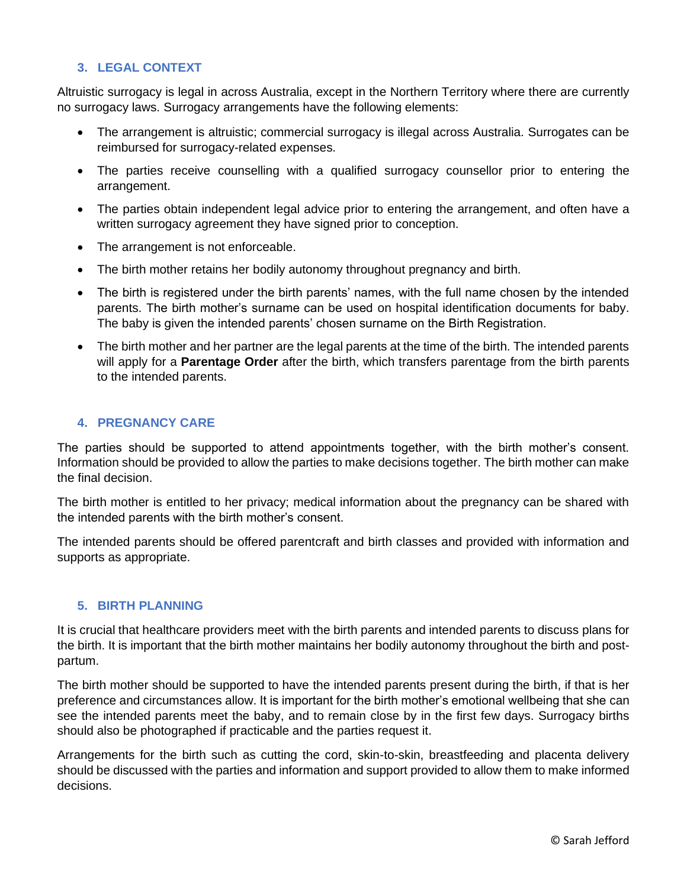## **3. LEGAL CONTEXT**

Altruistic surrogacy is legal in across Australia, except in the Northern Territory where there are currently no surrogacy laws. Surrogacy arrangements have the following elements:

- The arrangement is altruistic; commercial surrogacy is illegal across Australia. Surrogates can be reimbursed for surrogacy-related expenses.
- The parties receive counselling with a qualified surrogacy counsellor prior to entering the arrangement.
- The parties obtain independent legal advice prior to entering the arrangement, and often have a written surrogacy agreement they have signed prior to conception.
- The arrangement is not enforceable.
- The birth mother retains her bodily autonomy throughout pregnancy and birth.
- The birth is registered under the birth parents' names, with the full name chosen by the intended parents. The birth mother's surname can be used on hospital identification documents for baby. The baby is given the intended parents' chosen surname on the Birth Registration.
- The birth mother and her partner are the legal parents at the time of the birth. The intended parents will apply for a **Parentage Order** after the birth, which transfers parentage from the birth parents to the intended parents.

#### **4. PREGNANCY CARE**

The parties should be supported to attend appointments together, with the birth mother's consent. Information should be provided to allow the parties to make decisions together. The birth mother can make the final decision.

The birth mother is entitled to her privacy; medical information about the pregnancy can be shared with the intended parents with the birth mother's consent.

The intended parents should be offered parentcraft and birth classes and provided with information and supports as appropriate.

## **5. BIRTH PLANNING**

It is crucial that healthcare providers meet with the birth parents and intended parents to discuss plans for the birth. It is important that the birth mother maintains her bodily autonomy throughout the birth and postpartum.

The birth mother should be supported to have the intended parents present during the birth, if that is her preference and circumstances allow. It is important for the birth mother's emotional wellbeing that she can see the intended parents meet the baby, and to remain close by in the first few days. Surrogacy births should also be photographed if practicable and the parties request it.

Arrangements for the birth such as cutting the cord, skin-to-skin, breastfeeding and placenta delivery should be discussed with the parties and information and support provided to allow them to make informed decisions.